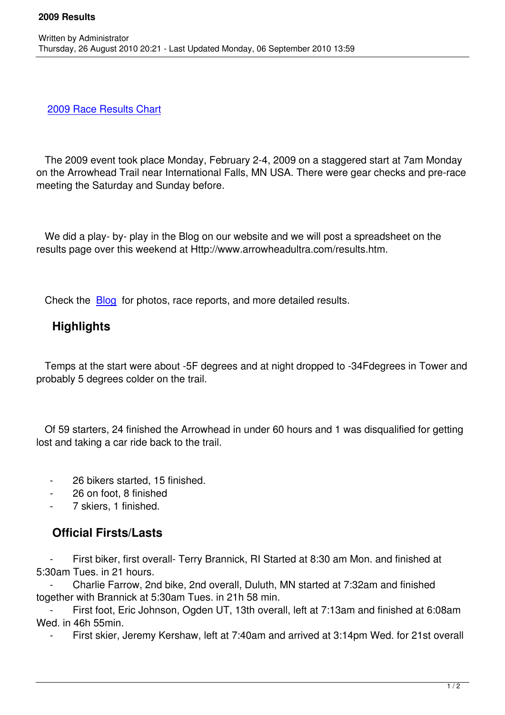2009 Race Results Chart

Written by Administrator and Administrator and Administrator and Administrator and Administrator and Administrator and Administrator and Administrator and Administrator and Administrator and Administrator and Administrator

 [The 2009 event took place](/images/stories/results/2009resultsxlsx.xls) Monday, February 2-4, 2009 on a staggered start at 7am Monday on the Arrowhead Trail near International Falls, MN USA. There were gear checks and pre-race meeting the Saturday and Sunday before.

We did a play- by- play in the Blog on our website and we will post a spreadsheet on the results page over this weekend at Http://www.arrowheadultra.com/results.htm.

Check the **Blog** for photos, race reports, and more detailed results.

## **Highlights**

 Temps at the start were about -5F degrees and at night dropped to -34Fdegrees in Tower and probably 5 degrees colder on the trail.

 Of 59 starters, 24 finished the Arrowhead in under 60 hours and 1 was disqualified for getting lost and taking a car ride back to the trail.

- 26 bikers started, 15 finished.
- 26 on foot, 8 finished
- 7 skiers, 1 finished.

## **Official Firsts/Lasts**

First biker, first overall- Terry Brannick, RI Started at 8:30 am Mon. and finished at 5:30am Tues. in 21 hours.

 - Charlie Farrow, 2nd bike, 2nd overall, Duluth, MN started at 7:32am and finished together with Brannick at 5:30am Tues. in 21h 58 min.

First foot, Eric Johnson, Ogden UT, 13th overall, left at 7:13am and finished at 6:08am Wed. in 46h 55min.

First skier, Jeremy Kershaw, left at 7:40am and arrived at 3:14pm Wed. for 21st overall